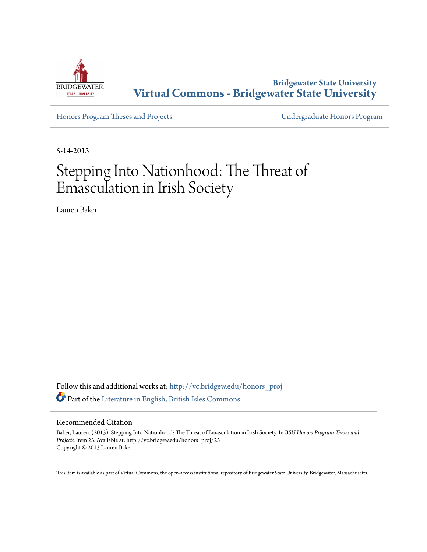

**Bridgewater State University [Virtual Commons - Bridgewater State University](http://vc.bridgew.edu?utm_source=vc.bridgew.edu%2Fhonors_proj%2F23&utm_medium=PDF&utm_campaign=PDFCoverPages)**

[Honors Program Theses and Projects](http://vc.bridgew.edu/honors_proj?utm_source=vc.bridgew.edu%2Fhonors_proj%2F23&utm_medium=PDF&utm_campaign=PDFCoverPages) [Undergraduate Honors Program](http://vc.bridgew.edu/honors?utm_source=vc.bridgew.edu%2Fhonors_proj%2F23&utm_medium=PDF&utm_campaign=PDFCoverPages)

5-14-2013

# Stepping Into Nationhood: The Threat of Emasculation in Irish Society

Lauren Baker

Follow this and additional works at: [http://vc.bridgew.edu/honors\\_proj](http://vc.bridgew.edu/honors_proj?utm_source=vc.bridgew.edu%2Fhonors_proj%2F23&utm_medium=PDF&utm_campaign=PDFCoverPages) Part of the [Literature in English, British Isles Commons](http://network.bepress.com/hgg/discipline/456?utm_source=vc.bridgew.edu%2Fhonors_proj%2F23&utm_medium=PDF&utm_campaign=PDFCoverPages)

### Recommended Citation

Baker, Lauren. (2013). Stepping Into Nationhood: The Threat of Emasculation in Irish Society. In *BSU Honors Program Theses and Projects.* Item 23. Available at: http://vc.bridgew.edu/honors\_proj/23 Copyright © 2013 Lauren Baker

This item is available as part of Virtual Commons, the open-access institutional repository of Bridgewater State University, Bridgewater, Massachusetts.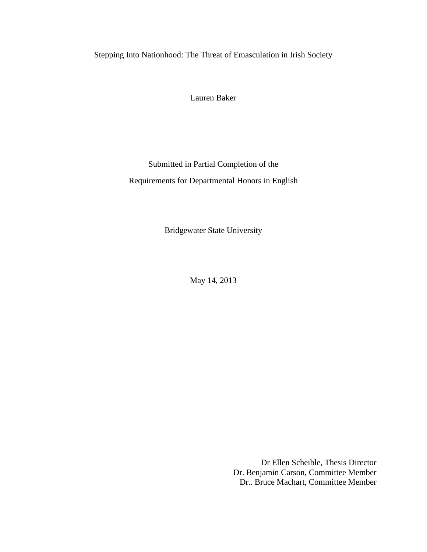Stepping Into Nationhood: The Threat of Emasculation in Irish Society

Lauren Baker

Submitted in Partial Completion of the Requirements for Departmental Honors in English

Bridgewater State University

May 14, 2013

Dr Ellen Scheible, Thesis Director Dr. Benjamin Carson, Committee Member Dr.. Bruce Machart, Committee Member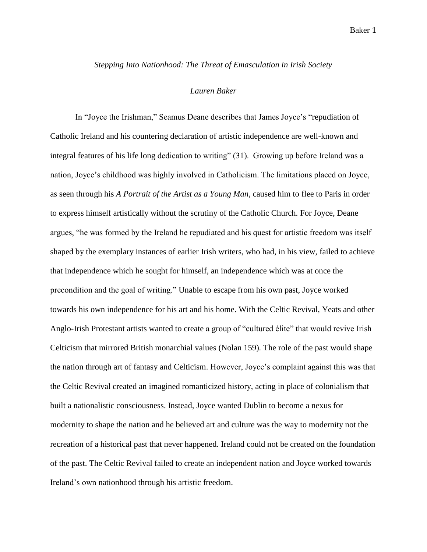*Stepping Into Nationhood: The Threat of Emasculation in Irish Society*

## *Lauren Baker*

In "Joyce the Irishman," Seamus Deane describes that James Joyce's "repudiation of Catholic Ireland and his countering declaration of artistic independence are well-known and integral features of his life long dedication to writing" (31). Growing up before Ireland was a nation, Joyce's childhood was highly involved in Catholicism. The limitations placed on Joyce, as seen through his *A Portrait of the Artist as a Young Man*, caused him to flee to Paris in order to express himself artistically without the scrutiny of the Catholic Church. For Joyce, Deane argues, "he was formed by the Ireland he repudiated and his quest for artistic freedom was itself shaped by the exemplary instances of earlier Irish writers, who had, in his view, failed to achieve that independence which he sought for himself, an independence which was at once the precondition and the goal of writing." Unable to escape from his own past, Joyce worked towards his own independence for his art and his home. With the Celtic Revival, Yeats and other Anglo-Irish Protestant artists wanted to create a group of "cultured élite" that would revive Irish Celticism that mirrored British monarchial values (Nolan 159). The role of the past would shape the nation through art of fantasy and Celticism. However, Joyce's complaint against this was that the Celtic Revival created an imagined romanticized history, acting in place of colonialism that built a nationalistic consciousness. Instead, Joyce wanted Dublin to become a nexus for modernity to shape the nation and he believed art and culture was the way to modernity not the recreation of a historical past that never happened. Ireland could not be created on the foundation of the past. The Celtic Revival failed to create an independent nation and Joyce worked towards Ireland's own nationhood through his artistic freedom.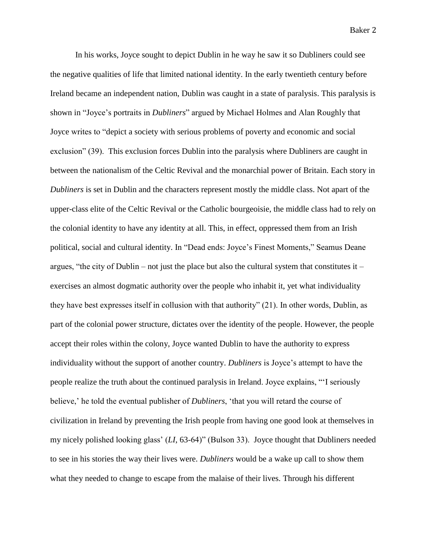In his works, Joyce sought to depict Dublin in he way he saw it so Dubliners could see the negative qualities of life that limited national identity. In the early twentieth century before Ireland became an independent nation, Dublin was caught in a state of paralysis. This paralysis is shown in "Joyce's portraits in *Dubliners*" argued by Michael Holmes and Alan Roughly that Joyce writes to "depict a society with serious problems of poverty and economic and social exclusion" (39). This exclusion forces Dublin into the paralysis where Dubliners are caught in between the nationalism of the Celtic Revival and the monarchial power of Britain. Each story in *Dubliners* is set in Dublin and the characters represent mostly the middle class. Not apart of the upper-class elite of the Celtic Revival or the Catholic bourgeoisie, the middle class had to rely on the colonial identity to have any identity at all. This, in effect, oppressed them from an Irish political, social and cultural identity. In "Dead ends: Joyce's Finest Moments," Seamus Deane argues, "the city of Dublin – not just the place but also the cultural system that constitutes it – exercises an almost dogmatic authority over the people who inhabit it, yet what individuality they have best expresses itself in collusion with that authority" (21). In other words, Dublin, as part of the colonial power structure, dictates over the identity of the people. However, the people accept their roles within the colony, Joyce wanted Dublin to have the authority to express individuality without the support of another country. *Dubliners* is Joyce's attempt to have the people realize the truth about the continued paralysis in Ireland. Joyce explains, "'I seriously believe,' he told the eventual publisher of *Dubliners*, 'that you will retard the course of civilization in Ireland by preventing the Irish people from having one good look at themselves in my nicely polished looking glass' (*LI*, 63-64)" (Bulson 33). Joyce thought that Dubliners needed to see in his stories the way their lives were. *Dubliners* would be a wake up call to show them what they needed to change to escape from the malaise of their lives. Through his different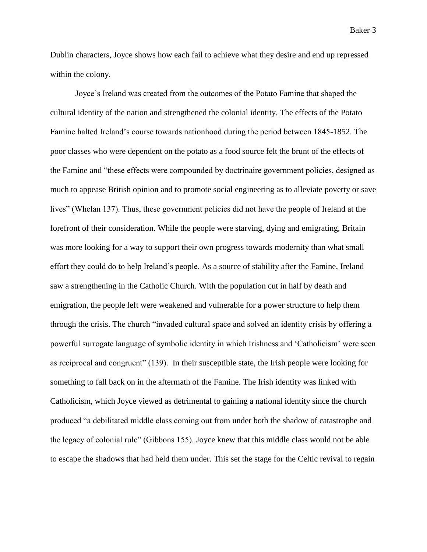Dublin characters, Joyce shows how each fail to achieve what they desire and end up repressed within the colony.

Joyce's Ireland was created from the outcomes of the Potato Famine that shaped the cultural identity of the nation and strengthened the colonial identity. The effects of the Potato Famine halted Ireland's course towards nationhood during the period between 1845-1852. The poor classes who were dependent on the potato as a food source felt the brunt of the effects of the Famine and "these effects were compounded by doctrinaire government policies, designed as much to appease British opinion and to promote social engineering as to alleviate poverty or save lives" (Whelan 137). Thus, these government policies did not have the people of Ireland at the forefront of their consideration. While the people were starving, dying and emigrating, Britain was more looking for a way to support their own progress towards modernity than what small effort they could do to help Ireland's people. As a source of stability after the Famine, Ireland saw a strengthening in the Catholic Church. With the population cut in half by death and emigration, the people left were weakened and vulnerable for a power structure to help them through the crisis. The church "invaded cultural space and solved an identity crisis by offering a powerful surrogate language of symbolic identity in which Irishness and 'Catholicism' were seen as reciprocal and congruent" (139). In their susceptible state, the Irish people were looking for something to fall back on in the aftermath of the Famine. The Irish identity was linked with Catholicism, which Joyce viewed as detrimental to gaining a national identity since the church produced "a debilitated middle class coming out from under both the shadow of catastrophe and the legacy of colonial rule" (Gibbons 155). Joyce knew that this middle class would not be able to escape the shadows that had held them under. This set the stage for the Celtic revival to regain

Baker 3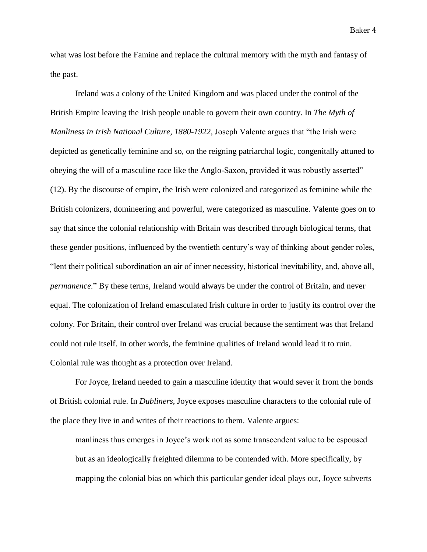what was lost before the Famine and replace the cultural memory with the myth and fantasy of the past.

Ireland was a colony of the United Kingdom and was placed under the control of the British Empire leaving the Irish people unable to govern their own country. In *The Myth of Manliness in Irish National Culture, 1880-1922*, Joseph Valente argues that "the Irish were depicted as genetically feminine and so, on the reigning patriarchal logic, congenitally attuned to obeying the will of a masculine race like the Anglo-Saxon, provided it was robustly asserted" (12). By the discourse of empire, the Irish were colonized and categorized as feminine while the British colonizers, domineering and powerful, were categorized as masculine. Valente goes on to say that since the colonial relationship with Britain was described through biological terms, that these gender positions, influenced by the twentieth century's way of thinking about gender roles, "lent their political subordination an air of inner necessity, historical inevitability, and, above all, *permanence.*" By these terms, Ireland would always be under the control of Britain, and never equal. The colonization of Ireland emasculated Irish culture in order to justify its control over the colony. For Britain, their control over Ireland was crucial because the sentiment was that Ireland could not rule itself. In other words, the feminine qualities of Ireland would lead it to ruin. Colonial rule was thought as a protection over Ireland.

For Joyce, Ireland needed to gain a masculine identity that would sever it from the bonds of British colonial rule. In *Dubliners*, Joyce exposes masculine characters to the colonial rule of the place they live in and writes of their reactions to them. Valente argues:

manliness thus emerges in Joyce's work not as some transcendent value to be espoused but as an ideologically freighted dilemma to be contended with. More specifically, by mapping the colonial bias on which this particular gender ideal plays out, Joyce subverts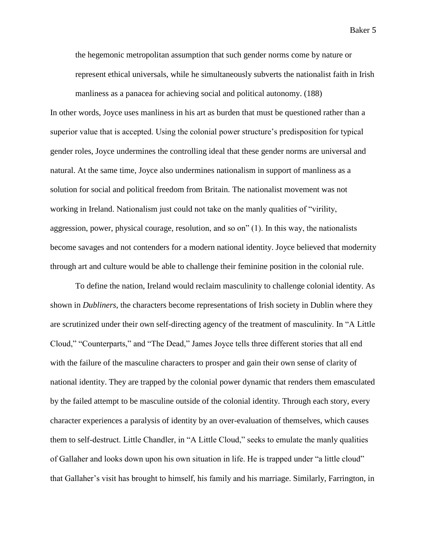the hegemonic metropolitan assumption that such gender norms come by nature or represent ethical universals, while he simultaneously subverts the nationalist faith in Irish

manliness as a panacea for achieving social and political autonomy. (188) In other words, Joyce uses manliness in his art as burden that must be questioned rather than a superior value that is accepted. Using the colonial power structure's predisposition for typical gender roles, Joyce undermines the controlling ideal that these gender norms are universal and natural. At the same time, Joyce also undermines nationalism in support of manliness as a solution for social and political freedom from Britain. The nationalist movement was not working in Ireland. Nationalism just could not take on the manly qualities of "virility, aggression, power, physical courage, resolution, and so on" (1). In this way, the nationalists become savages and not contenders for a modern national identity. Joyce believed that modernity through art and culture would be able to challenge their feminine position in the colonial rule.

To define the nation, Ireland would reclaim masculinity to challenge colonial identity. As shown in *Dubliners*, the characters become representations of Irish society in Dublin where they are scrutinized under their own self-directing agency of the treatment of masculinity. In "A Little Cloud," "Counterparts," and "The Dead," James Joyce tells three different stories that all end with the failure of the masculine characters to prosper and gain their own sense of clarity of national identity. They are trapped by the colonial power dynamic that renders them emasculated by the failed attempt to be masculine outside of the colonial identity. Through each story, every character experiences a paralysis of identity by an over-evaluation of themselves, which causes them to self-destruct. Little Chandler, in "A Little Cloud," seeks to emulate the manly qualities of Gallaher and looks down upon his own situation in life. He is trapped under "a little cloud" that Gallaher's visit has brought to himself, his family and his marriage. Similarly, Farrington, in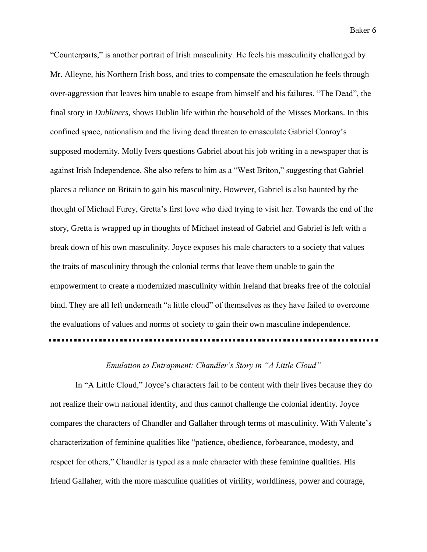"Counterparts," is another portrait of Irish masculinity. He feels his masculinity challenged by Mr. Alleyne, his Northern Irish boss, and tries to compensate the emasculation he feels through over-aggression that leaves him unable to escape from himself and his failures. "The Dead", the final story in *Dubliners*, shows Dublin life within the household of the Misses Morkans. In this confined space, nationalism and the living dead threaten to emasculate Gabriel Conroy's supposed modernity. Molly Ivers questions Gabriel about his job writing in a newspaper that is against Irish Independence. She also refers to him as a "West Briton," suggesting that Gabriel places a reliance on Britain to gain his masculinity. However, Gabriel is also haunted by the thought of Michael Furey, Gretta's first love who died trying to visit her. Towards the end of the story, Gretta is wrapped up in thoughts of Michael instead of Gabriel and Gabriel is left with a break down of his own masculinity. Joyce exposes his male characters to a society that values the traits of masculinity through the colonial terms that leave them unable to gain the empowerment to create a modernized masculinity within Ireland that breaks free of the colonial bind. They are all left underneath "a little cloud" of themselves as they have failed to overcome the evaluations of values and norms of society to gain their own masculine independence.

## *Emulation to Entrapment: Chandler's Story in "A Little Cloud"*

In "A Little Cloud," Joyce's characters fail to be content with their lives because they do not realize their own national identity, and thus cannot challenge the colonial identity. Joyce compares the characters of Chandler and Gallaher through terms of masculinity. With Valente's characterization of feminine qualities like "patience, obedience, forbearance, modesty, and respect for others," Chandler is typed as a male character with these feminine qualities. His friend Gallaher, with the more masculine qualities of virility, worldliness, power and courage,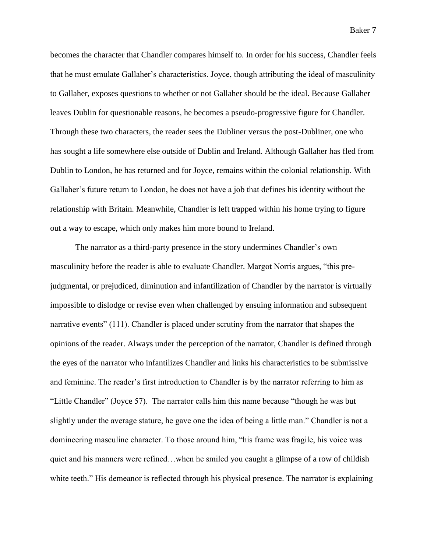becomes the character that Chandler compares himself to. In order for his success, Chandler feels that he must emulate Gallaher's characteristics. Joyce, though attributing the ideal of masculinity to Gallaher, exposes questions to whether or not Gallaher should be the ideal. Because Gallaher leaves Dublin for questionable reasons, he becomes a pseudo-progressive figure for Chandler. Through these two characters, the reader sees the Dubliner versus the post-Dubliner, one who has sought a life somewhere else outside of Dublin and Ireland. Although Gallaher has fled from Dublin to London, he has returned and for Joyce, remains within the colonial relationship. With Gallaher's future return to London, he does not have a job that defines his identity without the relationship with Britain. Meanwhile, Chandler is left trapped within his home trying to figure out a way to escape, which only makes him more bound to Ireland.

The narrator as a third-party presence in the story undermines Chandler's own masculinity before the reader is able to evaluate Chandler. Margot Norris argues, "this prejudgmental, or prejudiced, diminution and infantilization of Chandler by the narrator is virtually impossible to dislodge or revise even when challenged by ensuing information and subsequent narrative events" (111). Chandler is placed under scrutiny from the narrator that shapes the opinions of the reader. Always under the perception of the narrator, Chandler is defined through the eyes of the narrator who infantilizes Chandler and links his characteristics to be submissive and feminine. The reader's first introduction to Chandler is by the narrator referring to him as "Little Chandler" (Joyce 57). The narrator calls him this name because "though he was but slightly under the average stature, he gave one the idea of being a little man." Chandler is not a domineering masculine character. To those around him, "his frame was fragile, his voice was quiet and his manners were refined…when he smiled you caught a glimpse of a row of childish white teeth." His demeanor is reflected through his physical presence. The narrator is explaining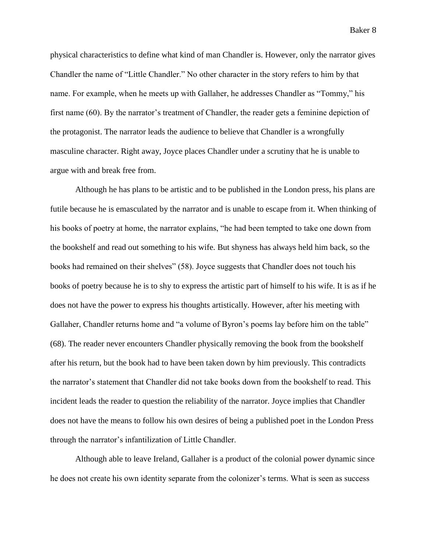physical characteristics to define what kind of man Chandler is. However, only the narrator gives Chandler the name of "Little Chandler." No other character in the story refers to him by that name. For example, when he meets up with Gallaher, he addresses Chandler as "Tommy," his first name (60). By the narrator's treatment of Chandler, the reader gets a feminine depiction of the protagonist. The narrator leads the audience to believe that Chandler is a wrongfully masculine character. Right away, Joyce places Chandler under a scrutiny that he is unable to argue with and break free from.

Although he has plans to be artistic and to be published in the London press, his plans are futile because he is emasculated by the narrator and is unable to escape from it. When thinking of his books of poetry at home, the narrator explains, "he had been tempted to take one down from the bookshelf and read out something to his wife. But shyness has always held him back, so the books had remained on their shelves" (58). Joyce suggests that Chandler does not touch his books of poetry because he is to shy to express the artistic part of himself to his wife. It is as if he does not have the power to express his thoughts artistically. However, after his meeting with Gallaher, Chandler returns home and "a volume of Byron's poems lay before him on the table" (68). The reader never encounters Chandler physically removing the book from the bookshelf after his return, but the book had to have been taken down by him previously. This contradicts the narrator's statement that Chandler did not take books down from the bookshelf to read. This incident leads the reader to question the reliability of the narrator. Joyce implies that Chandler does not have the means to follow his own desires of being a published poet in the London Press through the narrator's infantilization of Little Chandler.

Although able to leave Ireland, Gallaher is a product of the colonial power dynamic since he does not create his own identity separate from the colonizer's terms. What is seen as success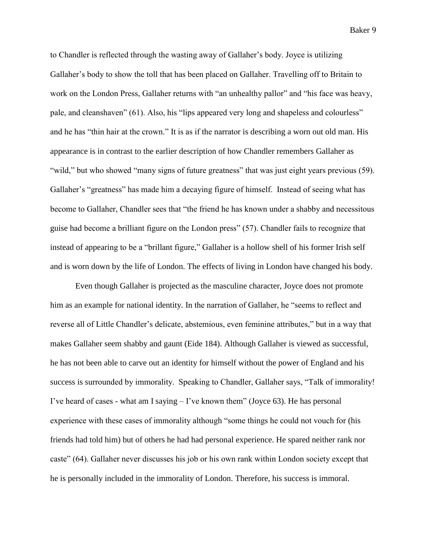to Chandler is reflected through the wasting away of Gallaher's body. Joyce is utilizing Gallaher's body to show the toll that has been placed on Gallaher. Travelling off to Britain to work on the London Press, Gallaher returns with "an unhealthy pallor" and "his face was heavy, pale, and cleanshaven" (61). Also, his "lips appeared very long and shapeless and colourless" and he has "thin hair at the crown." It is as if the narrator is describing a worn out old man. His appearance is in contrast to the earlier description of how Chandler remembers Gallaher as "wild," but who showed "many signs of future greatness" that was just eight years previous (59). Gallaher's "greatness" has made him a decaying figure of himself. Instead of seeing what has become to Gallaher, Chandler sees that "the friend he has known under a shabby and necessitous guise had become a brilliant figure on the London press" (57). Chandler fails to recognize that instead of appearing to be a "brillant figure," Gallaher is a hollow shell of his former Irish self and is worn down by the life of London. The effects of living in London have changed his body.

Even though Gallaher is projected as the masculine character, Joyce does not promote him as an example for national identity. In the narration of Gallaher, he "seems to reflect and reverse all of Little Chandler's delicate, abstemious, even feminine attributes," but in a way that makes Gallaher seem shabby and gaunt (Eide 184). Although Gallaher is viewed as successful, he has not been able to carve out an identity for himself without the power of England and his success is surrounded by immorality. Speaking to Chandler, Gallaher says, "Talk of immorality! I've heard of cases - what am I saying  $-$  I've known them" (Joyce 63). He has personal experience with these cases of immorality although "some things he could not vouch for (his friends had told him) but of others he had had personal experience. He spared neither rank nor caste" (64). Gallaher never discusses his job or his own rank within London society except that he is personally included in the immorality of London. Therefore, his success is immoral.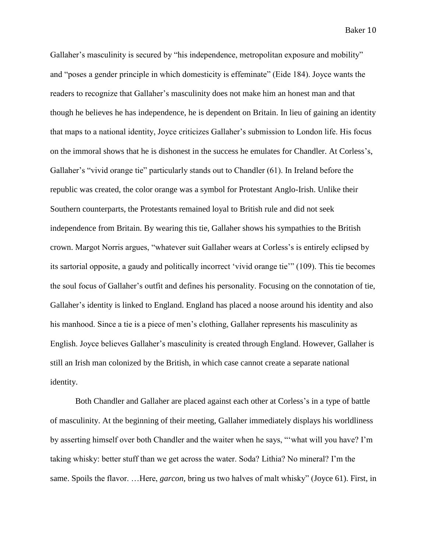Gallaher's masculinity is secured by "his independence, metropolitan exposure and mobility" and "poses a gender principle in which domesticity is effeminate" (Eide 184). Joyce wants the readers to recognize that Gallaher's masculinity does not make him an honest man and that though he believes he has independence, he is dependent on Britain. In lieu of gaining an identity that maps to a national identity, Joyce criticizes Gallaher's submission to London life. His focus on the immoral shows that he is dishonest in the success he emulates for Chandler. At Corless's, Gallaher's "vivid orange tie" particularly stands out to Chandler (61). In Ireland before the republic was created, the color orange was a symbol for Protestant Anglo-Irish. Unlike their Southern counterparts, the Protestants remained loyal to British rule and did not seek independence from Britain. By wearing this tie, Gallaher shows his sympathies to the British crown. Margot Norris argues, "whatever suit Gallaher wears at Corless's is entirely eclipsed by its sartorial opposite, a gaudy and politically incorrect 'vivid orange tie'" (109). This tie becomes the soul focus of Gallaher's outfit and defines his personality. Focusing on the connotation of tie, Gallaher's identity is linked to England. England has placed a noose around his identity and also his manhood. Since a tie is a piece of men's clothing, Gallaher represents his masculinity as English. Joyce believes Gallaher's masculinity is created through England. However, Gallaher is still an Irish man colonized by the British, in which case cannot create a separate national identity.

Both Chandler and Gallaher are placed against each other at Corless's in a type of battle of masculinity. At the beginning of their meeting, Gallaher immediately displays his worldliness by asserting himself over both Chandler and the waiter when he says, "'what will you have? I'm taking whisky: better stuff than we get across the water. Soda? Lithia? No mineral? I'm the same. Spoils the flavor. …Here, *garcon,* bring us two halves of malt whisky" (Joyce 61). First, in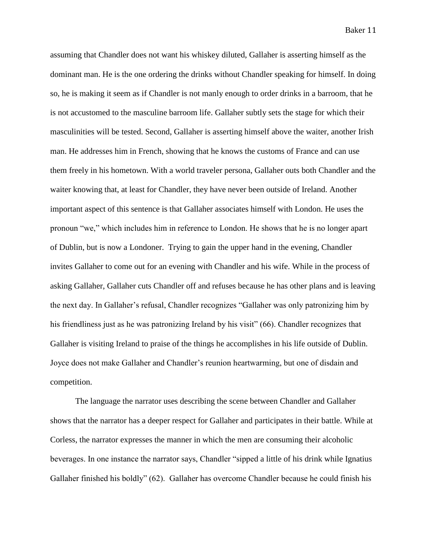assuming that Chandler does not want his whiskey diluted, Gallaher is asserting himself as the dominant man. He is the one ordering the drinks without Chandler speaking for himself. In doing so, he is making it seem as if Chandler is not manly enough to order drinks in a barroom, that he is not accustomed to the masculine barroom life. Gallaher subtly sets the stage for which their masculinities will be tested. Second, Gallaher is asserting himself above the waiter, another Irish man. He addresses him in French, showing that he knows the customs of France and can use them freely in his hometown. With a world traveler persona, Gallaher outs both Chandler and the waiter knowing that, at least for Chandler, they have never been outside of Ireland. Another important aspect of this sentence is that Gallaher associates himself with London. He uses the pronoun "we," which includes him in reference to London. He shows that he is no longer apart of Dublin, but is now a Londoner. Trying to gain the upper hand in the evening, Chandler invites Gallaher to come out for an evening with Chandler and his wife. While in the process of asking Gallaher, Gallaher cuts Chandler off and refuses because he has other plans and is leaving the next day. In Gallaher's refusal, Chandler recognizes "Gallaher was only patronizing him by his friendliness just as he was patronizing Ireland by his visit" (66). Chandler recognizes that Gallaher is visiting Ireland to praise of the things he accomplishes in his life outside of Dublin. Joyce does not make Gallaher and Chandler's reunion heartwarming, but one of disdain and competition.

The language the narrator uses describing the scene between Chandler and Gallaher shows that the narrator has a deeper respect for Gallaher and participates in their battle. While at Corless, the narrator expresses the manner in which the men are consuming their alcoholic beverages. In one instance the narrator says, Chandler "sipped a little of his drink while Ignatius Gallaher finished his boldly" (62). Gallaher has overcome Chandler because he could finish his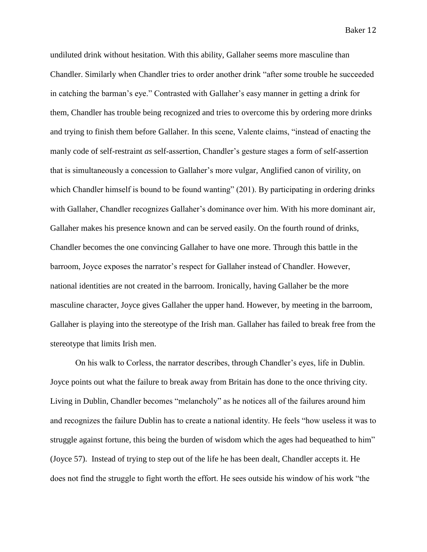undiluted drink without hesitation. With this ability, Gallaher seems more masculine than Chandler. Similarly when Chandler tries to order another drink "after some trouble he succeeded in catching the barman's eye." Contrasted with Gallaher's easy manner in getting a drink for them, Chandler has trouble being recognized and tries to overcome this by ordering more drinks and trying to finish them before Gallaher. In this scene, Valente claims, "instead of enacting the manly code of self-restraint *as* self-assertion, Chandler's gesture stages a form of self-assertion that is simultaneously a concession to Gallaher's more vulgar, Anglified canon of virility, on which Chandler himself is bound to be found wanting" (201). By participating in ordering drinks with Gallaher, Chandler recognizes Gallaher's dominance over him. With his more dominant air, Gallaher makes his presence known and can be served easily. On the fourth round of drinks, Chandler becomes the one convincing Gallaher to have one more. Through this battle in the barroom, Joyce exposes the narrator's respect for Gallaher instead of Chandler. However, national identities are not created in the barroom. Ironically, having Gallaher be the more masculine character, Joyce gives Gallaher the upper hand. However, by meeting in the barroom, Gallaher is playing into the stereotype of the Irish man. Gallaher has failed to break free from the stereotype that limits Irish men.

On his walk to Corless, the narrator describes, through Chandler's eyes, life in Dublin. Joyce points out what the failure to break away from Britain has done to the once thriving city. Living in Dublin, Chandler becomes "melancholy" as he notices all of the failures around him and recognizes the failure Dublin has to create a national identity. He feels "how useless it was to struggle against fortune, this being the burden of wisdom which the ages had bequeathed to him" (Joyce 57). Instead of trying to step out of the life he has been dealt, Chandler accepts it. He does not find the struggle to fight worth the effort. He sees outside his window of his work "the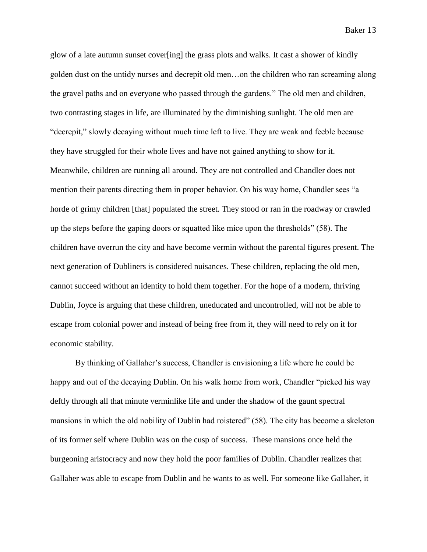glow of a late autumn sunset cover[ing] the grass plots and walks. It cast a shower of kindly golden dust on the untidy nurses and decrepit old men…on the children who ran screaming along the gravel paths and on everyone who passed through the gardens." The old men and children, two contrasting stages in life, are illuminated by the diminishing sunlight. The old men are "decrepit," slowly decaying without much time left to live. They are weak and feeble because they have struggled for their whole lives and have not gained anything to show for it. Meanwhile, children are running all around. They are not controlled and Chandler does not mention their parents directing them in proper behavior. On his way home, Chandler sees "a horde of grimy children [that] populated the street. They stood or ran in the roadway or crawled up the steps before the gaping doors or squatted like mice upon the thresholds" (58). The children have overrun the city and have become vermin without the parental figures present. The next generation of Dubliners is considered nuisances. These children, replacing the old men, cannot succeed without an identity to hold them together. For the hope of a modern, thriving Dublin, Joyce is arguing that these children, uneducated and uncontrolled, will not be able to escape from colonial power and instead of being free from it, they will need to rely on it for economic stability.

By thinking of Gallaher's success, Chandler is envisioning a life where he could be happy and out of the decaying Dublin. On his walk home from work, Chandler "picked his way deftly through all that minute verminlike life and under the shadow of the gaunt spectral mansions in which the old nobility of Dublin had roistered" (58). The city has become a skeleton of its former self where Dublin was on the cusp of success. These mansions once held the burgeoning aristocracy and now they hold the poor families of Dublin. Chandler realizes that Gallaher was able to escape from Dublin and he wants to as well. For someone like Gallaher, it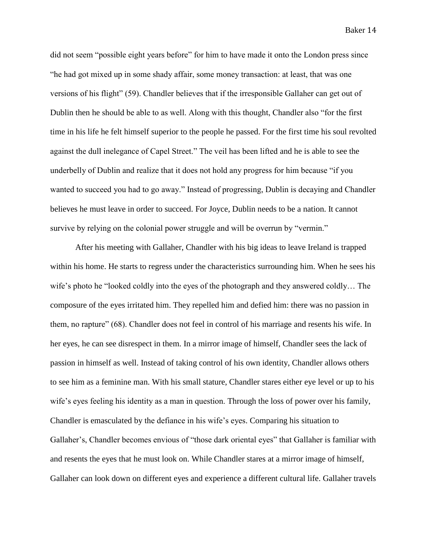did not seem "possible eight years before" for him to have made it onto the London press since "he had got mixed up in some shady affair, some money transaction: at least, that was one versions of his flight" (59). Chandler believes that if the irresponsible Gallaher can get out of Dublin then he should be able to as well. Along with this thought, Chandler also "for the first time in his life he felt himself superior to the people he passed. For the first time his soul revolted against the dull inelegance of Capel Street." The veil has been lifted and he is able to see the underbelly of Dublin and realize that it does not hold any progress for him because "if you wanted to succeed you had to go away." Instead of progressing, Dublin is decaying and Chandler believes he must leave in order to succeed. For Joyce, Dublin needs to be a nation. It cannot survive by relying on the colonial power struggle and will be overrun by "vermin."

After his meeting with Gallaher, Chandler with his big ideas to leave Ireland is trapped within his home. He starts to regress under the characteristics surrounding him. When he sees his wife's photo he "looked coldly into the eyes of the photograph and they answered coldly… The composure of the eyes irritated him. They repelled him and defied him: there was no passion in them, no rapture" (68). Chandler does not feel in control of his marriage and resents his wife. In her eyes, he can see disrespect in them. In a mirror image of himself, Chandler sees the lack of passion in himself as well. Instead of taking control of his own identity, Chandler allows others to see him as a feminine man. With his small stature, Chandler stares either eye level or up to his wife's eyes feeling his identity as a man in question. Through the loss of power over his family, Chandler is emasculated by the defiance in his wife's eyes. Comparing his situation to Gallaher's, Chandler becomes envious of "those dark oriental eyes" that Gallaher is familiar with and resents the eyes that he must look on. While Chandler stares at a mirror image of himself, Gallaher can look down on different eyes and experience a different cultural life. Gallaher travels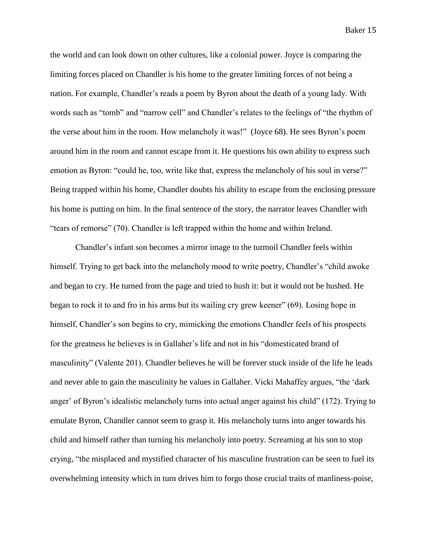the world and can look down on other cultures, like a colonial power. Joyce is comparing the limiting forces placed on Chandler is his home to the greater limiting forces of not being a nation. For example, Chandler's reads a poem by Byron about the death of a young lady. With words such as "tomb" and "narrow cell" and Chandler's relates to the feelings of "the rhythm of the verse about him in the room. How melancholy it was!" (Joyce 68). He sees Byron's poem around him in the room and cannot escape from it. He questions his own ability to express such emotion as Byron: "could he, too, write like that, express the melancholy of his soul in verse?" Being trapped within his home, Chandler doubts his ability to escape from the enclosing pressure his home is putting on him. In the final sentence of the story, the narrator leaves Chandler with "tears of remorse" (70). Chandler is left trapped within the home and within Ireland.

Chandler's infant son becomes a mirror image to the turmoil Chandler feels within himself. Trying to get back into the melancholy mood to write poetry, Chandler's "child awoke and began to cry. He turned from the page and tried to hush it: but it would not be hushed. He began to rock it to and fro in his arms but its wailing cry grew keener" (69). Losing hope in himself, Chandler's son begins to cry, mimicking the emotions Chandler feels of his prospects for the greatness he believes is in Gallaher's life and not in his "domesticated brand of masculinity" (Valente 201). Chandler believes he will be forever stuck inside of the life he leads and never able to gain the masculinity he values in Gallaher. Vicki Mahaffey argues, "the 'dark anger' of Byron's idealistic melancholy turns into actual anger against his child" (172). Trying to emulate Byron, Chandler cannot seem to grasp it. His melancholy turns into anger towards his child and himself rather than turning his melancholy into poetry. Screaming at his son to stop crying, "the misplaced and mystified character of his masculine frustration can be seen to fuel its overwhelming intensity which in turn drives him to forgo those crucial traits of manliness-poise,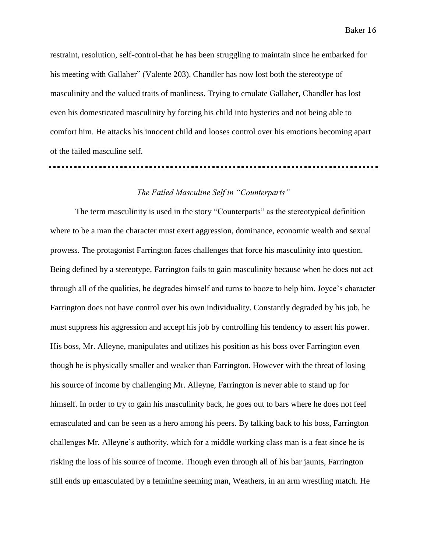restraint, resolution, self-control-that he has been struggling to maintain since he embarked for his meeting with Gallaher" (Valente 203). Chandler has now lost both the stereotype of masculinity and the valued traits of manliness. Trying to emulate Gallaher, Chandler has lost even his domesticated masculinity by forcing his child into hysterics and not being able to comfort him. He attacks his innocent child and looses control over his emotions becoming apart of the failed masculine self.

## *The Failed Masculine Self in "Counterparts"*

The term masculinity is used in the story "Counterparts" as the stereotypical definition where to be a man the character must exert aggression, dominance, economic wealth and sexual prowess. The protagonist Farrington faces challenges that force his masculinity into question. Being defined by a stereotype, Farrington fails to gain masculinity because when he does not act through all of the qualities, he degrades himself and turns to booze to help him. Joyce's character Farrington does not have control over his own individuality. Constantly degraded by his job, he must suppress his aggression and accept his job by controlling his tendency to assert his power. His boss, Mr. Alleyne, manipulates and utilizes his position as his boss over Farrington even though he is physically smaller and weaker than Farrington. However with the threat of losing his source of income by challenging Mr. Alleyne, Farrington is never able to stand up for himself. In order to try to gain his masculinity back, he goes out to bars where he does not feel emasculated and can be seen as a hero among his peers. By talking back to his boss, Farrington challenges Mr. Alleyne's authority, which for a middle working class man is a feat since he is risking the loss of his source of income. Though even through all of his bar jaunts, Farrington still ends up emasculated by a feminine seeming man, Weathers, in an arm wrestling match. He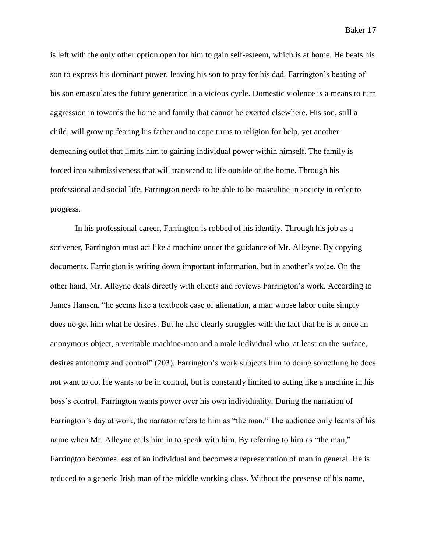is left with the only other option open for him to gain self-esteem, which is at home. He beats his son to express his dominant power, leaving his son to pray for his dad. Farrington's beating of his son emasculates the future generation in a vicious cycle. Domestic violence is a means to turn aggression in towards the home and family that cannot be exerted elsewhere. His son, still a child, will grow up fearing his father and to cope turns to religion for help, yet another demeaning outlet that limits him to gaining individual power within himself. The family is forced into submissiveness that will transcend to life outside of the home. Through his professional and social life, Farrington needs to be able to be masculine in society in order to progress.

In his professional career, Farrington is robbed of his identity. Through his job as a scrivener, Farrington must act like a machine under the guidance of Mr. Alleyne. By copying documents, Farrington is writing down important information, but in another's voice. On the other hand, Mr. Alleyne deals directly with clients and reviews Farrington's work. According to James Hansen, "he seems like a textbook case of alienation, a man whose labor quite simply does no get him what he desires. But he also clearly struggles with the fact that he is at once an anonymous object, a veritable machine-man and a male individual who, at least on the surface, desires autonomy and control" (203). Farrington's work subjects him to doing something he does not want to do. He wants to be in control, but is constantly limited to acting like a machine in his boss's control. Farrington wants power over his own individuality. During the narration of Farrington's day at work, the narrator refers to him as "the man." The audience only learns of his name when Mr. Alleyne calls him in to speak with him. By referring to him as "the man," Farrington becomes less of an individual and becomes a representation of man in general. He is reduced to a generic Irish man of the middle working class. Without the presense of his name,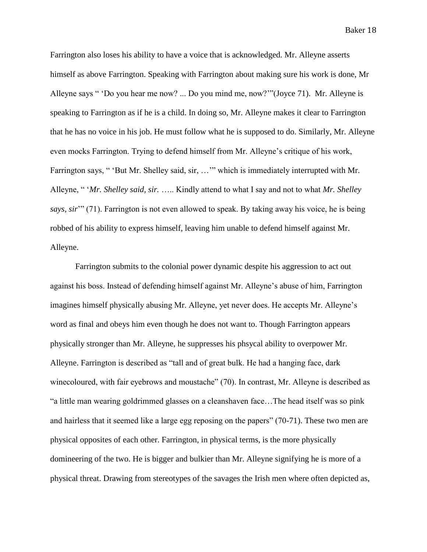Farrington also loses his ability to have a voice that is acknowledged. Mr. Alleyne asserts himself as above Farrington. Speaking with Farrington about making sure his work is done, Mr Alleyne says " 'Do you hear me now? ... Do you mind me, now?'"(Joyce 71). Mr. Alleyne is speaking to Farrington as if he is a child. In doing so, Mr. Alleyne makes it clear to Farrington that he has no voice in his job. He must follow what he is supposed to do. Similarly, Mr. Alleyne even mocks Farrington. Trying to defend himself from Mr. Alleyne's critique of his work, Farrington says, " 'But Mr. Shelley said, sir, …'" which is immediately interrupted with Mr. Alleyne, " '*Mr. Shelley said, sir.* ….. Kindly attend to what I say and not to what *Mr. Shelley says, sir*'" (71). Farrington is not even allowed to speak. By taking away his voice, he is being robbed of his ability to express himself, leaving him unable to defend himself against Mr. Alleyne.

Farrington submits to the colonial power dynamic despite his aggression to act out against his boss. Instead of defending himself against Mr. Alleyne's abuse of him, Farrington imagines himself physically abusing Mr. Alleyne, yet never does. He accepts Mr. Alleyne's word as final and obeys him even though he does not want to. Though Farrington appears physically stronger than Mr. Alleyne, he suppresses his phsycal ability to overpower Mr. Alleyne. Farrington is described as "tall and of great bulk. He had a hanging face, dark winecoloured, with fair eyebrows and moustache" (70). In contrast, Mr. Alleyne is described as "a little man wearing goldrimmed glasses on a cleanshaven face…The head itself was so pink and hairless that it seemed like a large egg reposing on the papers" (70-71). These two men are physical opposites of each other. Farrington, in physical terms, is the more physically domineering of the two. He is bigger and bulkier than Mr. Alleyne signifying he is more of a physical threat. Drawing from stereotypes of the savages the Irish men where often depicted as,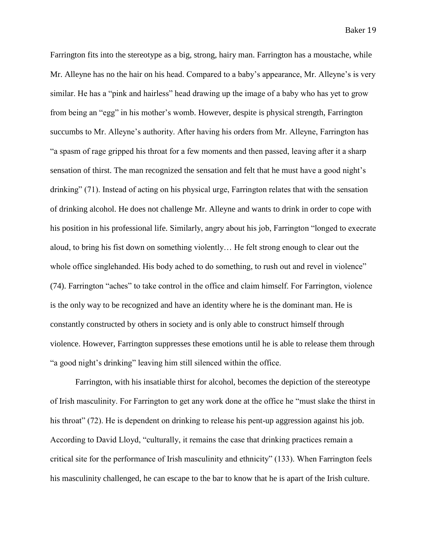Farrington fits into the stereotype as a big, strong, hairy man. Farrington has a moustache, while Mr. Alleyne has no the hair on his head. Compared to a baby's appearance, Mr. Alleyne's is very similar. He has a "pink and hairless" head drawing up the image of a baby who has yet to grow from being an "egg" in his mother's womb. However, despite is physical strength, Farrington succumbs to Mr. Alleyne's authority. After having his orders from Mr. Alleyne, Farrington has "a spasm of rage gripped his throat for a few moments and then passed, leaving after it a sharp sensation of thirst. The man recognized the sensation and felt that he must have a good night's drinking" (71). Instead of acting on his physical urge, Farrington relates that with the sensation of drinking alcohol. He does not challenge Mr. Alleyne and wants to drink in order to cope with his position in his professional life. Similarly, angry about his job, Farrington "longed to execrate aloud, to bring his fist down on something violently… He felt strong enough to clear out the whole office singlehanded. His body ached to do something, to rush out and revel in violence" (74). Farrington "aches" to take control in the office and claim himself. For Farrington, violence is the only way to be recognized and have an identity where he is the dominant man. He is constantly constructed by others in society and is only able to construct himself through violence. However, Farrington suppresses these emotions until he is able to release them through "a good night's drinking" leaving him still silenced within the office.

Farrington, with his insatiable thirst for alcohol, becomes the depiction of the stereotype of Irish masculinity. For Farrington to get any work done at the office he "must slake the thirst in his throat" (72). He is dependent on drinking to release his pent-up aggression against his job. According to David Lloyd, "culturally, it remains the case that drinking practices remain a critical site for the performance of Irish masculinity and ethnicity" (133). When Farrington feels his masculinity challenged, he can escape to the bar to know that he is apart of the Irish culture.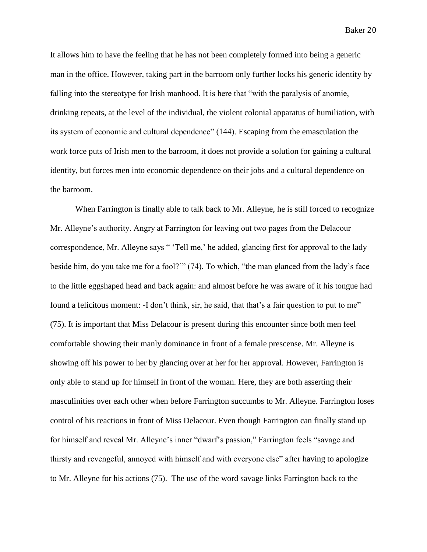It allows him to have the feeling that he has not been completely formed into being a generic man in the office. However, taking part in the barroom only further locks his generic identity by falling into the stereotype for Irish manhood. It is here that "with the paralysis of anomie, drinking repeats, at the level of the individual, the violent colonial apparatus of humiliation, with its system of economic and cultural dependence" (144). Escaping from the emasculation the work force puts of Irish men to the barroom, it does not provide a solution for gaining a cultural identity, but forces men into economic dependence on their jobs and a cultural dependence on the barroom.

When Farrington is finally able to talk back to Mr. Alleyne, he is still forced to recognize Mr. Alleyne's authority. Angry at Farrington for leaving out two pages from the Delacour correspondence, Mr. Alleyne says " 'Tell me,' he added, glancing first for approval to the lady beside him, do you take me for a fool?'" (74). To which, "the man glanced from the lady's face to the little eggshaped head and back again: and almost before he was aware of it his tongue had found a felicitous moment: -I don't think, sir, he said, that that's a fair question to put to me" (75). It is important that Miss Delacour is present during this encounter since both men feel comfortable showing their manly dominance in front of a female prescense. Mr. Alleyne is showing off his power to her by glancing over at her for her approval. However, Farrington is only able to stand up for himself in front of the woman. Here, they are both asserting their masculinities over each other when before Farrington succumbs to Mr. Alleyne. Farrington loses control of his reactions in front of Miss Delacour. Even though Farrington can finally stand up for himself and reveal Mr. Alleyne's inner "dwarf's passion," Farrington feels "savage and thirsty and revengeful, annoyed with himself and with everyone else" after having to apologize to Mr. Alleyne for his actions (75). The use of the word savage links Farrington back to the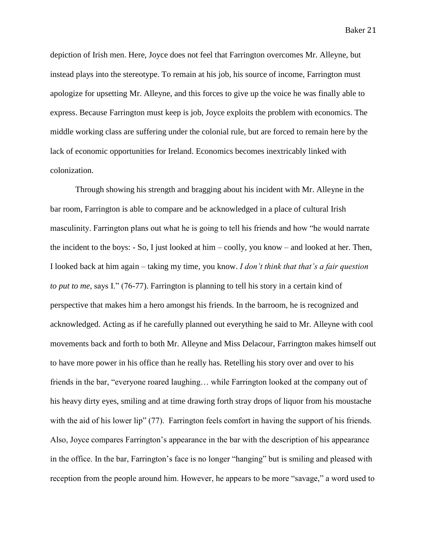depiction of Irish men. Here, Joyce does not feel that Farrington overcomes Mr. Alleyne, but instead plays into the stereotype. To remain at his job, his source of income, Farrington must apologize for upsetting Mr. Alleyne, and this forces to give up the voice he was finally able to express. Because Farrington must keep is job, Joyce exploits the problem with economics. The middle working class are suffering under the colonial rule, but are forced to remain here by the lack of economic opportunities for Ireland. Economics becomes inextricably linked with colonization.

Through showing his strength and bragging about his incident with Mr. Alleyne in the bar room, Farrington is able to compare and be acknowledged in a place of cultural Irish masculinity. Farrington plans out what he is going to tell his friends and how "he would narrate the incident to the boys: - So, I just looked at him – coolly, you know – and looked at her. Then, I looked back at him again – taking my time, you know. *I don't think that that's a fair question to put to me,* says I." (76-77). Farrington is planning to tell his story in a certain kind of perspective that makes him a hero amongst his friends. In the barroom, he is recognized and acknowledged. Acting as if he carefully planned out everything he said to Mr. Alleyne with cool movements back and forth to both Mr. Alleyne and Miss Delacour, Farrington makes himself out to have more power in his office than he really has. Retelling his story over and over to his friends in the bar, "everyone roared laughing… while Farrington looked at the company out of his heavy dirty eyes, smiling and at time drawing forth stray drops of liquor from his moustache with the aid of his lower lip" (77). Farrington feels comfort in having the support of his friends. Also, Joyce compares Farrington's appearance in the bar with the description of his appearance in the office. In the bar, Farrington's face is no longer "hanging" but is smiling and pleased with reception from the people around him. However, he appears to be more "savage," a word used to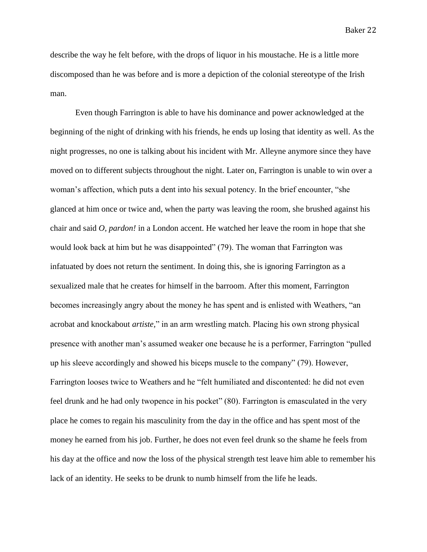describe the way he felt before, with the drops of liquor in his moustache. He is a little more discomposed than he was before and is more a depiction of the colonial stereotype of the Irish man.

Even though Farrington is able to have his dominance and power acknowledged at the beginning of the night of drinking with his friends, he ends up losing that identity as well. As the night progresses, no one is talking about his incident with Mr. Alleyne anymore since they have moved on to different subjects throughout the night. Later on, Farrington is unable to win over a woman's affection, which puts a dent into his sexual potency. In the brief encounter, "she glanced at him once or twice and, when the party was leaving the room, she brushed against his chair and said *O, pardon!* in a London accent. He watched her leave the room in hope that she would look back at him but he was disappointed" (79). The woman that Farrington was infatuated by does not return the sentiment. In doing this, she is ignoring Farrington as a sexualized male that he creates for himself in the barroom. After this moment, Farrington becomes increasingly angry about the money he has spent and is enlisted with Weathers, "an acrobat and knockabout *artiste,*" in an arm wrestling match. Placing his own strong physical presence with another man's assumed weaker one because he is a performer, Farrington "pulled up his sleeve accordingly and showed his biceps muscle to the company" (79). However, Farrington looses twice to Weathers and he "felt humiliated and discontented: he did not even feel drunk and he had only twopence in his pocket" (80). Farrington is emasculated in the very place he comes to regain his masculinity from the day in the office and has spent most of the money he earned from his job. Further, he does not even feel drunk so the shame he feels from his day at the office and now the loss of the physical strength test leave him able to remember his lack of an identity. He seeks to be drunk to numb himself from the life he leads.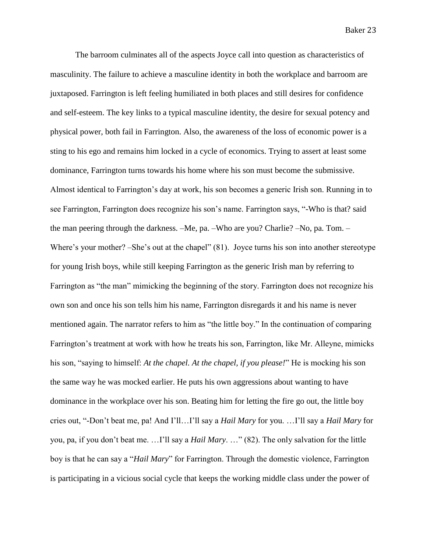The barroom culminates all of the aspects Joyce call into question as characteristics of masculinity. The failure to achieve a masculine identity in both the workplace and barroom are juxtaposed. Farrington is left feeling humiliated in both places and still desires for confidence and self-esteem. The key links to a typical masculine identity, the desire for sexual potency and physical power, both fail in Farrington. Also, the awareness of the loss of economic power is a sting to his ego and remains him locked in a cycle of economics. Trying to assert at least some dominance, Farrington turns towards his home where his son must become the submissive. Almost identical to Farrington's day at work, his son becomes a generic Irish son. Running in to see Farrington, Farrington does recognize his son's name. Farrington says, "-Who is that? said the man peering through the darkness. –Me, pa. –Who are you? Charlie? –No, pa. Tom. – Where's your mother? –She's out at the chapel" (81). Joyce turns his son into another stereotype for young Irish boys, while still keeping Farrington as the generic Irish man by referring to Farrington as "the man" mimicking the beginning of the story. Farrington does not recognize his own son and once his son tells him his name, Farrington disregards it and his name is never mentioned again. The narrator refers to him as "the little boy." In the continuation of comparing Farrington's treatment at work with how he treats his son, Farrington, like Mr. Alleyne, mimicks his son, "saying to himself: *At the chapel. At the chapel, if you please!*" He is mocking his son the same way he was mocked earlier. He puts his own aggressions about wanting to have dominance in the workplace over his son. Beating him for letting the fire go out, the little boy cries out, "-Don't beat me, pa! And I'll…I'll say a *Hail Mary* for you. …I'll say a *Hail Mary* for you, pa, if you don't beat me. …I'll say a *Hail Mary*. …" (82). The only salvation for the little boy is that he can say a "*Hail Mary*" for Farrington. Through the domestic violence, Farrington is participating in a vicious social cycle that keeps the working middle class under the power of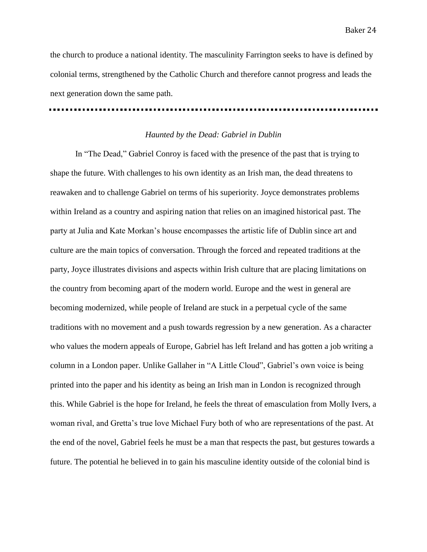the church to produce a national identity. The masculinity Farrington seeks to have is defined by colonial terms, strengthened by the Catholic Church and therefore cannot progress and leads the next generation down the same path.

## *Haunted by the Dead: Gabriel in Dublin*

In "The Dead," Gabriel Conroy is faced with the presence of the past that is trying to shape the future. With challenges to his own identity as an Irish man, the dead threatens to reawaken and to challenge Gabriel on terms of his superiority. Joyce demonstrates problems within Ireland as a country and aspiring nation that relies on an imagined historical past. The party at Julia and Kate Morkan's house encompasses the artistic life of Dublin since art and culture are the main topics of conversation. Through the forced and repeated traditions at the party, Joyce illustrates divisions and aspects within Irish culture that are placing limitations on the country from becoming apart of the modern world. Europe and the west in general are becoming modernized, while people of Ireland are stuck in a perpetual cycle of the same traditions with no movement and a push towards regression by a new generation. As a character who values the modern appeals of Europe, Gabriel has left Ireland and has gotten a job writing a column in a London paper. Unlike Gallaher in "A Little Cloud", Gabriel's own voice is being printed into the paper and his identity as being an Irish man in London is recognized through this. While Gabriel is the hope for Ireland, he feels the threat of emasculation from Molly Ivers, a woman rival, and Gretta's true love Michael Fury both of who are representations of the past. At the end of the novel, Gabriel feels he must be a man that respects the past, but gestures towards a future. The potential he believed in to gain his masculine identity outside of the colonial bind is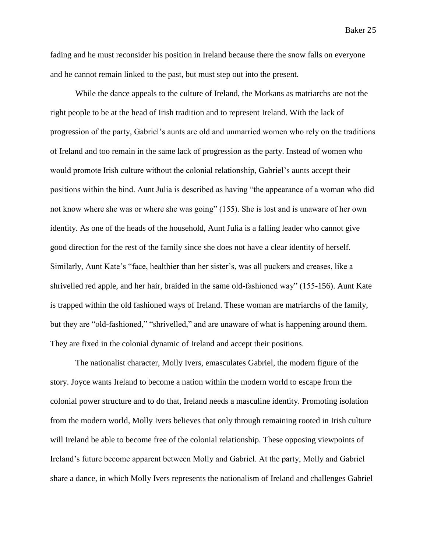fading and he must reconsider his position in Ireland because there the snow falls on everyone and he cannot remain linked to the past, but must step out into the present.

While the dance appeals to the culture of Ireland, the Morkans as matriarchs are not the right people to be at the head of Irish tradition and to represent Ireland. With the lack of progression of the party, Gabriel's aunts are old and unmarried women who rely on the traditions of Ireland and too remain in the same lack of progression as the party. Instead of women who would promote Irish culture without the colonial relationship, Gabriel's aunts accept their positions within the bind. Aunt Julia is described as having "the appearance of a woman who did not know where she was or where she was going" (155). She is lost and is unaware of her own identity. As one of the heads of the household, Aunt Julia is a falling leader who cannot give good direction for the rest of the family since she does not have a clear identity of herself. Similarly, Aunt Kate's "face, healthier than her sister's, was all puckers and creases, like a shrivelled red apple, and her hair, braided in the same old-fashioned way" (155-156). Aunt Kate is trapped within the old fashioned ways of Ireland. These woman are matriarchs of the family, but they are "old-fashioned," "shrivelled," and are unaware of what is happening around them. They are fixed in the colonial dynamic of Ireland and accept their positions.

The nationalist character, Molly Ivers, emasculates Gabriel, the modern figure of the story. Joyce wants Ireland to become a nation within the modern world to escape from the colonial power structure and to do that, Ireland needs a masculine identity. Promoting isolation from the modern world, Molly Ivers believes that only through remaining rooted in Irish culture will Ireland be able to become free of the colonial relationship. These opposing viewpoints of Ireland's future become apparent between Molly and Gabriel. At the party, Molly and Gabriel share a dance, in which Molly Ivers represents the nationalism of Ireland and challenges Gabriel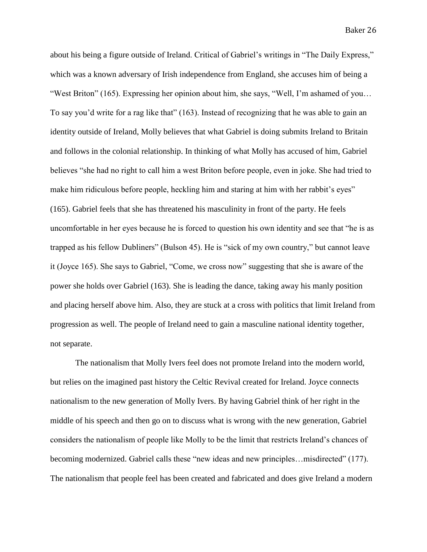about his being a figure outside of Ireland. Critical of Gabriel's writings in "The Daily Express," which was a known adversary of Irish independence from England, she accuses him of being a "West Briton" (165). Expressing her opinion about him, she says, "Well, I'm ashamed of you... To say you'd write for a rag like that" (163). Instead of recognizing that he was able to gain an identity outside of Ireland, Molly believes that what Gabriel is doing submits Ireland to Britain and follows in the colonial relationship. In thinking of what Molly has accused of him, Gabriel believes "she had no right to call him a west Briton before people, even in joke. She had tried to make him ridiculous before people, heckling him and staring at him with her rabbit's eyes" (165). Gabriel feels that she has threatened his masculinity in front of the party. He feels uncomfortable in her eyes because he is forced to question his own identity and see that "he is as trapped as his fellow Dubliners" (Bulson 45). He is "sick of my own country," but cannot leave it (Joyce 165). She says to Gabriel, "Come, we cross now" suggesting that she is aware of the power she holds over Gabriel (163). She is leading the dance, taking away his manly position and placing herself above him. Also, they are stuck at a cross with politics that limit Ireland from progression as well. The people of Ireland need to gain a masculine national identity together, not separate.

The nationalism that Molly Ivers feel does not promote Ireland into the modern world, but relies on the imagined past history the Celtic Revival created for Ireland. Joyce connects nationalism to the new generation of Molly Ivers. By having Gabriel think of her right in the middle of his speech and then go on to discuss what is wrong with the new generation, Gabriel considers the nationalism of people like Molly to be the limit that restricts Ireland's chances of becoming modernized. Gabriel calls these "new ideas and new principles...misdirected" (177). The nationalism that people feel has been created and fabricated and does give Ireland a modern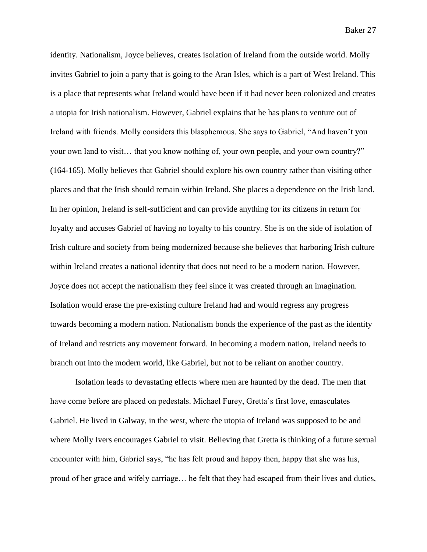identity. Nationalism, Joyce believes, creates isolation of Ireland from the outside world. Molly invites Gabriel to join a party that is going to the Aran Isles, which is a part of West Ireland. This is a place that represents what Ireland would have been if it had never been colonized and creates a utopia for Irish nationalism. However, Gabriel explains that he has plans to venture out of Ireland with friends. Molly considers this blasphemous. She says to Gabriel, "And haven't you your own land to visit… that you know nothing of, your own people, and your own country?" (164-165). Molly believes that Gabriel should explore his own country rather than visiting other places and that the Irish should remain within Ireland. She places a dependence on the Irish land. In her opinion, Ireland is self-sufficient and can provide anything for its citizens in return for loyalty and accuses Gabriel of having no loyalty to his country. She is on the side of isolation of Irish culture and society from being modernized because she believes that harboring Irish culture within Ireland creates a national identity that does not need to be a modern nation. However, Joyce does not accept the nationalism they feel since it was created through an imagination. Isolation would erase the pre-existing culture Ireland had and would regress any progress towards becoming a modern nation. Nationalism bonds the experience of the past as the identity of Ireland and restricts any movement forward. In becoming a modern nation, Ireland needs to branch out into the modern world, like Gabriel, but not to be reliant on another country.

Isolation leads to devastating effects where men are haunted by the dead. The men that have come before are placed on pedestals. Michael Furey, Gretta's first love, emasculates Gabriel. He lived in Galway, in the west, where the utopia of Ireland was supposed to be and where Molly Ivers encourages Gabriel to visit. Believing that Gretta is thinking of a future sexual encounter with him, Gabriel says, "he has felt proud and happy then, happy that she was his, proud of her grace and wifely carriage… he felt that they had escaped from their lives and duties,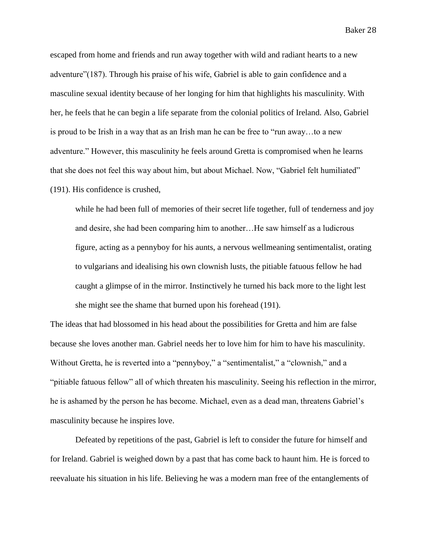escaped from home and friends and run away together with wild and radiant hearts to a new adventure"(187). Through his praise of his wife, Gabriel is able to gain confidence and a masculine sexual identity because of her longing for him that highlights his masculinity. With her, he feels that he can begin a life separate from the colonial politics of Ireland. Also, Gabriel is proud to be Irish in a way that as an Irish man he can be free to "run away…to a new adventure." However, this masculinity he feels around Gretta is compromised when he learns that she does not feel this way about him, but about Michael. Now, "Gabriel felt humiliated" (191). His confidence is crushed,

while he had been full of memories of their secret life together, full of tenderness and joy and desire, she had been comparing him to another…He saw himself as a ludicrous figure, acting as a pennyboy for his aunts, a nervous wellmeaning sentimentalist, orating to vulgarians and idealising his own clownish lusts, the pitiable fatuous fellow he had caught a glimpse of in the mirror. Instinctively he turned his back more to the light lest she might see the shame that burned upon his forehead (191).

The ideas that had blossomed in his head about the possibilities for Gretta and him are false because she loves another man. Gabriel needs her to love him for him to have his masculinity. Without Gretta, he is reverted into a "pennyboy," a "sentimentalist," a "clownish," and a "pitiable fatuous fellow" all of which threaten his masculinity. Seeing his reflection in the mirror, he is ashamed by the person he has become. Michael, even as a dead man, threatens Gabriel's masculinity because he inspires love.

Defeated by repetitions of the past, Gabriel is left to consider the future for himself and for Ireland. Gabriel is weighed down by a past that has come back to haunt him. He is forced to reevaluate his situation in his life. Believing he was a modern man free of the entanglements of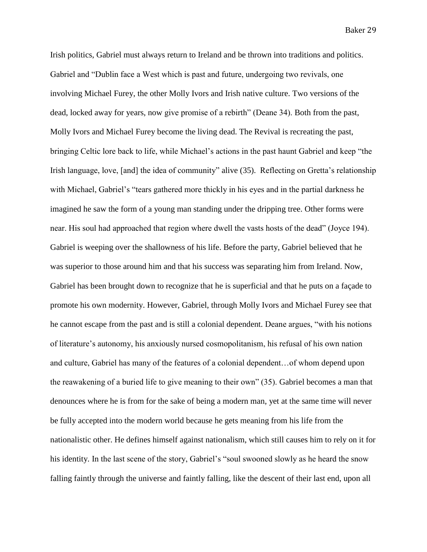Irish politics, Gabriel must always return to Ireland and be thrown into traditions and politics. Gabriel and "Dublin face a West which is past and future, undergoing two revivals, one involving Michael Furey, the other Molly Ivors and Irish native culture. Two versions of the dead, locked away for years, now give promise of a rebirth" (Deane 34). Both from the past, Molly Ivors and Michael Furey become the living dead. The Revival is recreating the past, bringing Celtic lore back to life, while Michael's actions in the past haunt Gabriel and keep "the Irish language, love, [and] the idea of community" alive (35). Reflecting on Gretta's relationship with Michael, Gabriel's "tears gathered more thickly in his eyes and in the partial darkness he imagined he saw the form of a young man standing under the dripping tree. Other forms were near. His soul had approached that region where dwell the vasts hosts of the dead" (Joyce 194). Gabriel is weeping over the shallowness of his life. Before the party, Gabriel believed that he was superior to those around him and that his success was separating him from Ireland. Now, Gabriel has been brought down to recognize that he is superficial and that he puts on a façade to promote his own modernity. However, Gabriel, through Molly Ivors and Michael Furey see that he cannot escape from the past and is still a colonial dependent. Deane argues, "with his notions of literature's autonomy, his anxiously nursed cosmopolitanism, his refusal of his own nation and culture, Gabriel has many of the features of a colonial dependent…of whom depend upon the reawakening of a buried life to give meaning to their own" (35). Gabriel becomes a man that denounces where he is from for the sake of being a modern man, yet at the same time will never be fully accepted into the modern world because he gets meaning from his life from the nationalistic other. He defines himself against nationalism, which still causes him to rely on it for his identity. In the last scene of the story, Gabriel's "soul swooned slowly as he heard the snow falling faintly through the universe and faintly falling, like the descent of their last end, upon all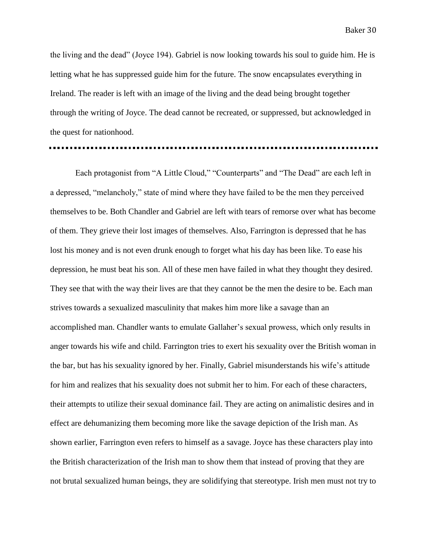the living and the dead" (Joyce 194). Gabriel is now looking towards his soul to guide him. He is letting what he has suppressed guide him for the future. The snow encapsulates everything in Ireland. The reader is left with an image of the living and the dead being brought together through the writing of Joyce. The dead cannot be recreated, or suppressed, but acknowledged in the quest for nationhood.

Each protagonist from "A Little Cloud," "Counterparts" and "The Dead" are each left in a depressed, "melancholy," state of mind where they have failed to be the men they perceived themselves to be. Both Chandler and Gabriel are left with tears of remorse over what has become of them. They grieve their lost images of themselves. Also, Farrington is depressed that he has lost his money and is not even drunk enough to forget what his day has been like. To ease his depression, he must beat his son. All of these men have failed in what they thought they desired. They see that with the way their lives are that they cannot be the men the desire to be. Each man strives towards a sexualized masculinity that makes him more like a savage than an accomplished man. Chandler wants to emulate Gallaher's sexual prowess, which only results in anger towards his wife and child. Farrington tries to exert his sexuality over the British woman in the bar, but has his sexuality ignored by her. Finally, Gabriel misunderstands his wife's attitude for him and realizes that his sexuality does not submit her to him. For each of these characters, their attempts to utilize their sexual dominance fail. They are acting on animalistic desires and in effect are dehumanizing them becoming more like the savage depiction of the Irish man. As shown earlier, Farrington even refers to himself as a savage. Joyce has these characters play into the British characterization of the Irish man to show them that instead of proving that they are not brutal sexualized human beings, they are solidifying that stereotype. Irish men must not try to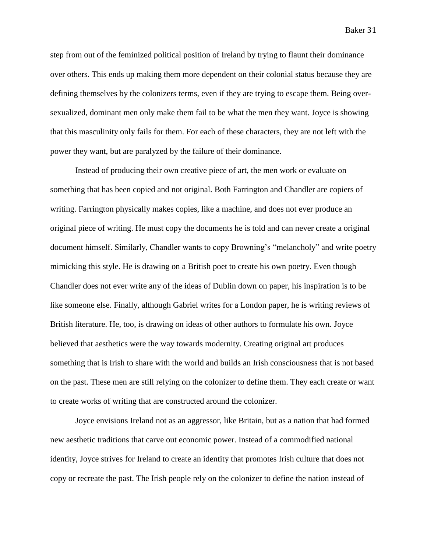step from out of the feminized political position of Ireland by trying to flaunt their dominance over others. This ends up making them more dependent on their colonial status because they are defining themselves by the colonizers terms, even if they are trying to escape them. Being oversexualized, dominant men only make them fail to be what the men they want. Joyce is showing that this masculinity only fails for them. For each of these characters, they are not left with the power they want, but are paralyzed by the failure of their dominance.

Instead of producing their own creative piece of art, the men work or evaluate on something that has been copied and not original. Both Farrington and Chandler are copiers of writing. Farrington physically makes copies, like a machine, and does not ever produce an original piece of writing. He must copy the documents he is told and can never create a original document himself. Similarly, Chandler wants to copy Browning's "melancholy" and write poetry mimicking this style. He is drawing on a British poet to create his own poetry. Even though Chandler does not ever write any of the ideas of Dublin down on paper, his inspiration is to be like someone else. Finally, although Gabriel writes for a London paper, he is writing reviews of British literature. He, too, is drawing on ideas of other authors to formulate his own. Joyce believed that aesthetics were the way towards modernity. Creating original art produces something that is Irish to share with the world and builds an Irish consciousness that is not based on the past. These men are still relying on the colonizer to define them. They each create or want to create works of writing that are constructed around the colonizer.

Joyce envisions Ireland not as an aggressor, like Britain, but as a nation that had formed new aesthetic traditions that carve out economic power. Instead of a commodified national identity, Joyce strives for Ireland to create an identity that promotes Irish culture that does not copy or recreate the past. The Irish people rely on the colonizer to define the nation instead of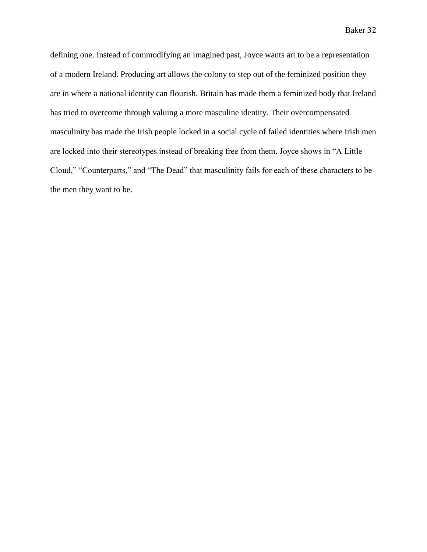defining one. Instead of commodifying an imagined past, Joyce wants art to be a representation of a modern Ireland. Producing art allows the colony to step out of the feminized position they are in where a national identity can flourish. Britain has made them a feminized body that Ireland has tried to overcome through valuing a more masculine identity. Their overcompensated masculinity has made the Irish people locked in a social cycle of failed identities where Irish men are locked into their stereotypes instead of breaking free from them. Joyce shows in "A Little Cloud," "Counterparts," and "The Dead" that masculinity fails for each of these characters to be the men they want to be.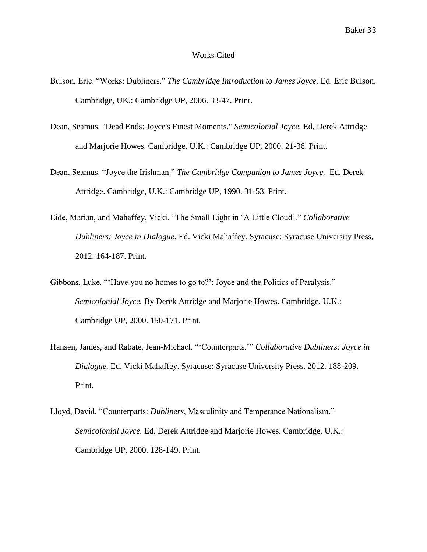## Works Cited

- Bulson, Eric. "Works: Dubliners." *The Cambridge Introduction to James Joyce.* Ed. Eric Bulson. Cambridge, UK.: Cambridge UP, 2006. 33-47. Print.
- Dean, Seamus. "Dead Ends: Joyce's Finest Moments." *Semicolonial Joyce*. Ed. Derek Attridge and Marjorie Howes. Cambridge, U.K.: Cambridge UP, 2000. 21-36. Print.
- Dean, Seamus. "Joyce the Irishman." *The Cambridge Companion to James Joyce.* Ed. Derek Attridge. Cambridge, U.K.: Cambridge UP, 1990. 31-53. Print.
- Eide, Marian, and Mahaffey, Vicki. "The Small Light in 'A Little Cloud'." *Collaborative Dubliners: Joyce in Dialogue.* Ed. Vicki Mahaffey. Syracuse: Syracuse University Press, 2012. 164-187. Print.
- Gibbons, Luke. "'Have you no homes to go to?': Joyce and the Politics of Paralysis." *Semicolonial Joyce.* By Derek Attridge and Marjorie Howes. Cambridge, U.K.: Cambridge UP, 2000. 150-171. Print.
- Hansen, James, and Rabaté, Jean-Michael. "'Counterparts.'" *Collaborative Dubliners: Joyce in Dialogue.* Ed. Vicki Mahaffey. Syracuse: Syracuse University Press, 2012. 188-209. Print.
- Lloyd, David. "Counterparts: *Dubliners*, Masculinity and Temperance Nationalism." *Semicolonial Joyce.* Ed. Derek Attridge and Marjorie Howes. Cambridge, U.K.: Cambridge UP, 2000. 128-149. Print.